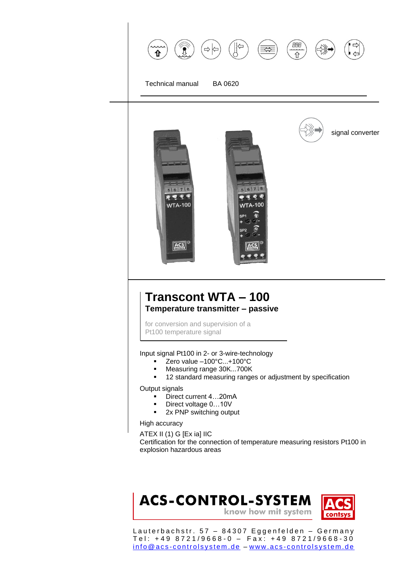

 $5|6|7|8$ 

 $904$ 

**WTA-100** 



for conversion and supervision of a Pt100 temperature signal

 $5|6|7|8$ 

 $\mathcal{L} \subset \mathcal{L}$ 

**WTA-100** 

ACS

Input signal Pt100 in 2- or 3-wire-technology

- Zero value –100°C...+100°C
- Measuring range 30K...700K
- **12 standard measuring ranges or adjustment by specification**

Output signals

- Direct current 4...20mA
- Direct voltage 0...10V
- **2x PNP switching output**

High accuracy

ATEX II (1) G [Ex ia] IIC Certification for the connection of temperature measuring resistors Pt100 in explosion hazardous areas



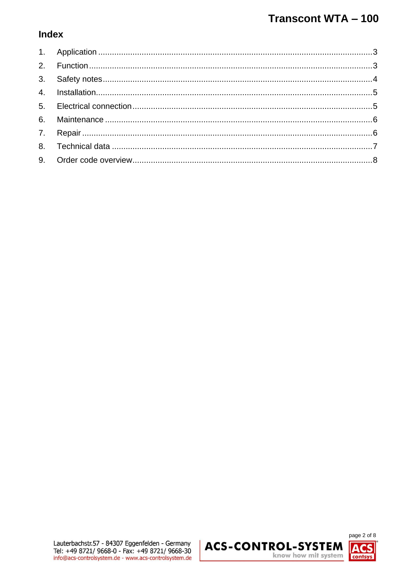### **Index**

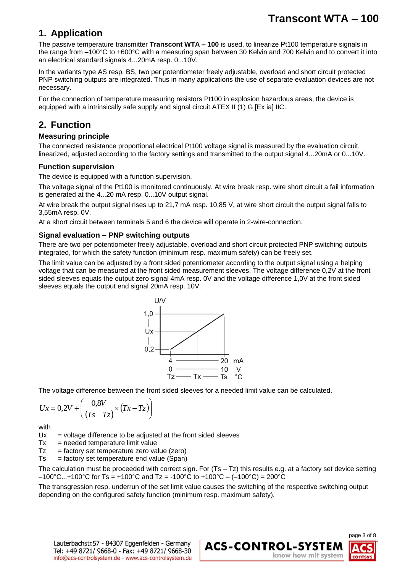### <span id="page-2-0"></span>**1. Application**

The passive temperature transmitter **Transcont WTA – 100** is used, to linearize Pt100 temperature signals in the range from –100°C to +600°C with a measuring span between 30 Kelvin and 700 Kelvin and to convert it into an electrical standard signals 4...20mA resp. 0...10V.

In the variants type AS resp. BS, two per potentiometer freely adjustable, overload and short circuit protected PNP switching outputs are integrated. Thus in many applications the use of separate evaluation devices are not necessary.

For the connection of temperature measuring resistors Pt100 in explosion hazardous areas, the device is equipped with a intrinsically safe supply and signal circuit ATEX II (1) G [Ex ia] IIC.

### <span id="page-2-1"></span>**2. Function**

#### **Measuring principle**

The connected resistance proportional electrical Pt100 voltage signal is measured by the evaluation circuit, linearized, adjusted according to the factory settings and transmitted to the output signal 4...20mA or 0...10V.

#### **Function supervision**

The device is equipped with a function supervision.

The voltage signal of the Pt100 is monitored continuously. At wire break resp. wire short circuit a fail information is generated at the 4...20 mA resp. 0...10V output signal.

At wire break the output signal rises up to 21,7 mA resp. 10,85 V, at wire short circuit the output signal falls to 3,55mA resp. 0V.

At a short circuit between terminals 5 and 6 the device will operate in 2-wire-connection.

#### **Signal evaluation – PNP switching outputs**

There are two per potentiometer freely adjustable, overload and short circuit protected PNP switching outputs integrated, for which the safety function (minimum resp. maximum safety) can be freely set.

The limit value can be adjusted by a front sided potentiometer according to the output signal using a helping voltage that can be measured at the front sided measurement sleeves. The voltage difference 0,2V at the front sided sleeves equals the output zero signal 4mA resp. 0V and the voltage difference 1,0V at the front sided sleeves equals the output end signal 20mA resp. 10V.



The voltage difference between the front sided sleeves for a needed limit value can be calculated.

$$
Ux = 0, 2V + \left(\frac{0.8V}{(Ts - Tz)} \times (Tx - Tz)\right)
$$

with

 $Ux =$  voltage difference to be adjusted at the front sided sleeves

 $Tx = needed$  temperature limit value

 $Tz =$  factory set temperature zero value (zero)

 $Ts = factory$  set temperature end value (Span)

The calculation must be proceeded with correct sign. For  $(Ts - Tz)$  this results e.g. at a factory set device setting  $-100^{\circ}$ C...+100°C for Ts = +100°C and Tz = -100°C to +100°C – (–100°C) = 200°C

The transgression resp. underrun of the set limit value causes the switching of the respective switching output depending on the configured safety function (minimum resp. maximum safety).

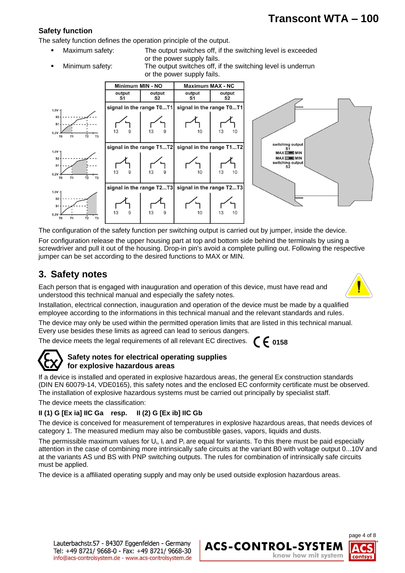#### **Safety function**

The safety function defines the operation principle of the output.

- 
- Maximum safety: The output switches off, if the switching level is exceeded or the power supply fails.
- 

 Minimum safety: The output switches off, if the switching level is underrun or the power supply fails.



The configuration of the safety function per switching output is carried out by jumper, inside the device. For configuration release the upper housing part at top and bottom side behind the terminals by using a screwdriver and pull it out of the housing. Drop-in pin's avoid a complete pulling out. Following the respective jumper can be set according to the desired functions to MAX or MIN.

### <span id="page-3-0"></span>**3. Safety notes**

Each person that is engaged with inauguration and operation of this device, must have read and understood this technical manual and especially the safety notes.



Installation, electrical connection, inauguration and operation of the device must be made by a qualified employee according to the informations in this technical manual and the relevant standards and rules.

The device may only be used within the permitted operation limits that are listed in this technical manual. Every use besides these limits as agreed can lead to serious dangers.

The device meets the legal requirements of all relevant EC directives.



#### **Safety notes for electrical operating supplies for explosive hazardous areas**

If a device is installed and operated in explosive hazardous areas, the general Ex construction standards (DIN EN 60079-14, VDE0165), this safety notes and the enclosed EC conformity certificate must be observed. The installation of explosive hazardous systems must be carried out principally by specialist staff.

The device meets the classification:

### **II (1) G [Ex ia] IIC Ga resp. II (2) G [Ex ib] IIC Gb**

The device is conceived for measurement of temperatures in explosive hazardous areas, that needs devices of category 1. The measured medium may also be combustible gases, vapors, liquids and dusts.

The permissible maximum values for U<sub>i</sub>, I<sub>i</sub> and P<sub>i</sub> are equal for variants. To this there must be paid especially attention in the case of combining more intrinsically safe circuits at the variant B0 with voltage output 0...10V and at the variants AS und BS with PNP switching outputs. The rules for combination of intrinsically safe circuits must be applied.

The device is a affiliated operating supply and may only be used outside explosion hazardous areas.



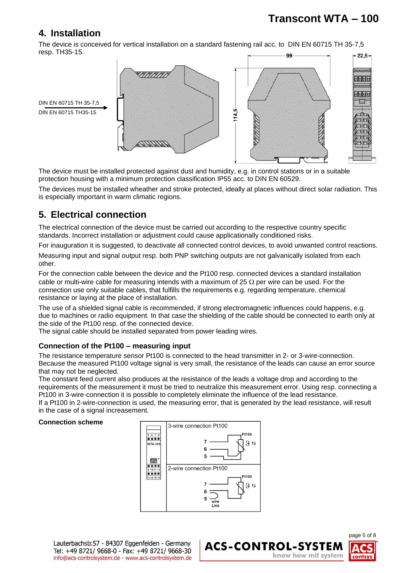### <span id="page-4-0"></span>**4. Installation**

The device is conceived for vertical installation on a standard fastening rail acc. to DIN EN 60715 TH 35-7,5 resp. TH35-15. **gg**  $-22.5-$ 



The device must be installed protected against dust and humidity, e.g. in control stations or in a suitable protection housing with a minimum protection classification IP55 acc. to DIN EN 60529.

The devices must be installed wheather and stroke protected, ideally at places without direct solar radiation. This is especially important in warm climatic regions.

### <span id="page-4-1"></span>**5. Electrical connection**

The electrical connection of the device must be carried out according to the respective country specific standards. Incorrect installation or adjustment could cause applicationally conditioned risks.

For inauguration it is suggested, to deactivate all connected control devices, to avoid unwanted control reactions.

Measuring input and signal output resp. both PNP switching outputs are not galvanically isolated from each other.

For the connection cable between the device and the Pt100 resp. connected devices a standard installation cable or multi-wire cable for measuring intends with a maximum of 25  $\Omega$  per wire can be used. For the connection use only suitable cables, that fulfills the requirements e.g. regarding temperature, chemical resistance or laying at the place of installation.

The use of a shielded signal cable is recommended, if strong electromagnetic influences could happens, e.g. due to machines or radio equipment. In that case the shielding of the cable should be connected to earth only at the side of the Pt100 resp. of the connected device.

The signal cable should be installed separated from power leading wires.

#### **Connection of the Pt100 – measuring input**

The resistance temperature sensor Pt100 is connected to the head transmitter in 2- or 3-wire-connection. Because the measured Pt100 voltage signal is very small, the resistance of the leads can cause an error source that may not be neglected.

The constant feed current also produces at the resistance of the leads a voltage drop and according to the requirements of the measurement it must be tried to neutralize this measurement error. Using resp. connecting a Pt100 in 3-wire-connection it is possible to completely eliminate the influence of the lead resistance. If a Pt100 in 2-wire-connection is used, the measuring error, that is generated by the lead resistance, will result

in the case of a signal increasement.

#### **Connection scheme**



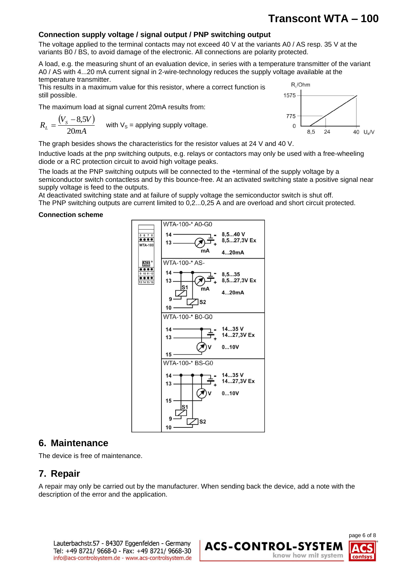#### **Connection supply voltage / signal output / PNP switching output**

The voltage applied to the terminal contacts may not exceed 40 V at the variants A0 / AS resp. 35 V at the variants B0 / BS, to avoid damage of the electronic. All connections are polarity protected.

A load, e.g. the measuring shunt of an evaluation device, in series with a temperature transmitter of the variant A0 / AS with 4...20 mA current signal in 2-wire-technology reduces the supply voltage available at the temperature transmitter.

This results in a maximum value for this resistor, where a correct function is still possible.

The maximum load at signal current 20mA results from:

$$
R_L = \frac{(V_s - 8.5V)}{20mA}
$$
 with V<sub>s</sub> = applying supply voltage.



The graph besides shows the characteristics for the resistor values at 24 V and 40 V.

Inductive loads at the pnp switching outputs, e.g. relays or contactors may only be used with a free-wheeling diode or a RC protection circuit to avoid high voltage peaks.

The loads at the PNP switching outputs will be connected to the +terminal of the supply voltage by a semiconductor switch contactless and by this bounce-free. At an activated switching state a positive signal near supply voltage is feed to the outputs.

At deactivated switching state and at failure of supply voltage the semiconductor switch is shut off.

The PNP switching outputs are current limited to 0,2...0,25 A and are overload and short circuit protected.

#### **Connection scheme**



### <span id="page-5-0"></span>**6. Maintenance**

<span id="page-5-1"></span>The device is free of maintenance.

### **7. Repair**

<span id="page-5-2"></span>A repair may only be carried out by the manufacturer. When sending back the device, add a note with the description of the error and the application.

Lauterbachstr.57 - 84307 Eggenfelden - Germany Tel: +49 8721/ 9668-0 - Fax: +49 8721/ 9668-30 info@acs-controlsystem.de - www.acs-controlsystem.de



## **Transcont WTA – 100**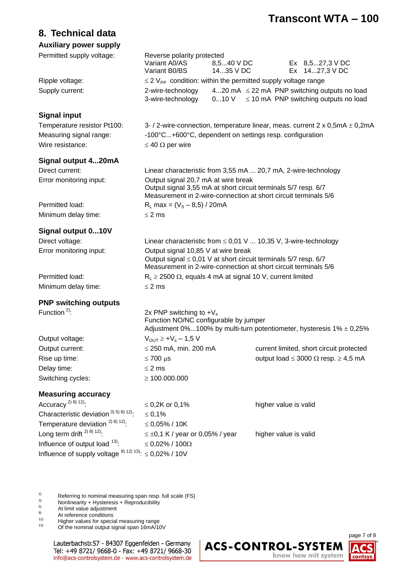### **8. Technical data**

#### **Auxiliary power supply**

| Permitted supply voltage:                                                   | Reverse polarity protected<br>Variant A0/AS<br>Variant B0/BS                                                                                                                   | 8,540 V DC<br>1435 V DC |                       | Ex 8,527,3 V DC<br>Ex 1427,3 V DC                                                               |  |
|-----------------------------------------------------------------------------|--------------------------------------------------------------------------------------------------------------------------------------------------------------------------------|-------------------------|-----------------------|-------------------------------------------------------------------------------------------------|--|
| Ripple voltage:                                                             | $\leq$ 2 V <sub>PP</sub> condition: within the permitted supply voltage range                                                                                                  |                         |                       |                                                                                                 |  |
| Supply current:                                                             | 2-wire-technology<br>3-wire-technology                                                                                                                                         | 010V                    |                       | 420 mA $\leq$ 22 mA PNP switching outputs no load<br>$\leq$ 10 mA PNP switching outputs no load |  |
| <b>Signal input</b>                                                         |                                                                                                                                                                                |                         |                       |                                                                                                 |  |
| Temperature resistor Pt100:                                                 |                                                                                                                                                                                |                         |                       | 3- / 2-wire-connection, temperature linear, meas. current 2 x 0,5mA ± 0,2mA                     |  |
| Measuring signal range:                                                     | -100°C+600°C, dependent on settings resp. configuration                                                                                                                        |                         |                       |                                                                                                 |  |
| Wire resistance:                                                            | $\leq 40 \Omega$ per wire                                                                                                                                                      |                         |                       |                                                                                                 |  |
| Signal output 420mA                                                         |                                                                                                                                                                                |                         |                       |                                                                                                 |  |
| Direct current:                                                             | Linear characteristic from 3,55 mA  20,7 mA, 2-wire-technology                                                                                                                 |                         |                       |                                                                                                 |  |
| Error monitoring input:                                                     | Output signal 20,7 mA at wire break<br>Output signal 3,55 mA at short circuit terminals 5/7 resp. 6/7<br>Measurement in 2-wire-connection at short circuit terminals 5/6       |                         |                       |                                                                                                 |  |
| Permitted load:                                                             | $R_L$ max = $(V_S - 8.5) / 20$ mA                                                                                                                                              |                         |                       |                                                                                                 |  |
| Minimum delay time:                                                         | $\leq$ 2 ms                                                                                                                                                                    |                         |                       |                                                                                                 |  |
| Signal output 010V                                                          |                                                                                                                                                                                |                         |                       |                                                                                                 |  |
| Direct voltage:                                                             | Linear characteristic from $\leq 0.01$ V  10.35 V, 3-wire-technology                                                                                                           |                         |                       |                                                                                                 |  |
| Error monitoring input:                                                     | Output signal 10,85 V at wire break<br>Output signal $\leq 0.01$ V at short circuit terminals 5/7 resp. 6/7<br>Measurement in 2-wire-connection at short circuit terminals 5/6 |                         |                       |                                                                                                 |  |
| Permitted load:                                                             | $R_L \ge 2500 \Omega$ , equals 4 mA at signal 10 V, current limited                                                                                                            |                         |                       |                                                                                                 |  |
| Minimum delay time:                                                         | $\leq$ 2 ms                                                                                                                                                                    |                         |                       |                                                                                                 |  |
| <b>PNP switching outputs</b>                                                |                                                                                                                                                                                |                         |                       |                                                                                                 |  |
| Function <sup>2)</sup> :                                                    | 2x PNP switching to $+V_s$<br>Function NO/NC configurable by jumper<br>Adjustment 0%100% by multi-turn potentiometer, hysteresis $1\% \pm 0.25\%$                              |                         |                       |                                                                                                 |  |
| Output voltage:                                                             | $V_{\text{OUT}} \geq +V_{\text{s}} - 1.5 V$                                                                                                                                    |                         |                       |                                                                                                 |  |
| Output current:                                                             | $\leq$ 250 mA, min. 200 mA                                                                                                                                                     |                         |                       | current limited, short circuit protected                                                        |  |
| Rise up time:                                                               | $\leq 700 \,\mu s$                                                                                                                                                             |                         |                       | output load $\leq$ 3000 $\Omega$ resp. $\geq$ 4,5 mA                                            |  |
| Delay time:                                                                 | $\leq$ 2 ms                                                                                                                                                                    |                         |                       |                                                                                                 |  |
| Switching cycles:                                                           | $\geq 100.000.000$                                                                                                                                                             |                         |                       |                                                                                                 |  |
| <b>Measuring accuracy</b>                                                   |                                                                                                                                                                                |                         |                       |                                                                                                 |  |
| Accuracy <sup>2) 8) 12)</sup> :                                             | ≤ 0,2K or 0,1%                                                                                                                                                                 |                         | higher value is valid |                                                                                                 |  |
| Characteristic deviation $^{3) 5) 8) 12}$ .                                 | $\leq 0,1\%$                                                                                                                                                                   |                         |                       |                                                                                                 |  |
| Temperature deviation $^{2)}$ 8) 12).                                       | $\leq 0.05\%$ / 10K                                                                                                                                                            |                         |                       |                                                                                                 |  |
| Long term drift $^{2)}$ 8) 12):                                             | $\leq \pm 0.1$ K / year or 0.05% / year                                                                                                                                        |                         | higher value is valid |                                                                                                 |  |
| Influence of output load <sup>13)</sup> :                                   | $\leq$ 0,02% / 100 $\Omega$                                                                                                                                                    |                         |                       |                                                                                                 |  |
| Influence of supply voltage $^{8}$ , $^{12}$ , $^{13}$ : $\leq$ 0,02% / 10V |                                                                                                                                                                                |                         |                       |                                                                                                 |  |
|                                                                             |                                                                                                                                                                                |                         |                       |                                                                                                 |  |

<sup>2)</sup> Referring to nominal measuring span resp. full scale (FS)<br><sup>3)</sup> Nonlinearity + Hysteresis + Reproducibility

- $3)$  Nonlinearity + Hysteresis + Reproducibility
- $<sup>5)</sup>$  At limit value adjustment</sup>

- <sup>12)</sup> Higher values for special measuring range<br><sup>13)</sup> Of the nominal output signal span 16mA/10
- Of the nominal output signal span 16mA/10V



 $\frac{8}{12}$  At reference conditions